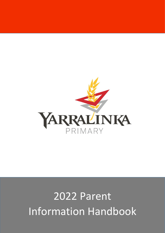

# 2022 Parent Information Handbook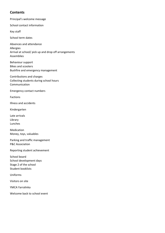## **Contents**

Principal's welcome message

School contact information

Key staff

School term dates

Absences and attendance Allergies Arrival at school/ pick up and drop off arrangements Assemblies

Behaviour support Bikes and scooters Bushfire and emergency management

Contributions and charges Collecting students during school hours Communication

Emergency contact numbers

Factions

Illness and accidents

Kindergarten

Late arrivals Library Lunches

Medication Money, toys, valuables

Parking and traffic management P&C Association

Reporting student achievement

School board School development days Stage 2 of the school Student booklists

Uniforms

Visitors on site

YMCA Yarralinka

Welcome back to school event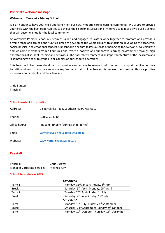#### **Principal's welcome message**

#### **Welcome to Yarralinka Primary School!**

It is an honour to have your child and family join our new, modern, caring learning community. We aspire to provide your child with the best opportunities to achieve their personal success and invite you to join us as we build a school that will become a hub for the local community.

At Yarralinka Primary School our team of skilled and engaged educators work together to promote and provide a diverse range of learning opportunities aimed at developing the whole child, with a focus on developing the academic, social, physical and emotional aspects. Our school is one that fosters a sense of belonging for everyone. We celebrate and welcome members from all cultures and foster a positive and supportive learning environment through high expectations of student learning and behaviour. The natural environment is an important feature of the local area and is something we seek to embed in all aspects of our school's operations

This handbook has been developed to provide easy access to relevant information to support families as they transition into our school. We welcome any feedback that could enhance this process to ensure that this is a positive experience for students and their families.

Chris Burgess Principal

## **School contact information**

| Address:      | 12 Yarralinka Road, Southern River, WA, 6110 |
|---------------|----------------------------------------------|
| Phone:        | (08) 9391 4340                               |
| Office hours: | 8:15am-3:45pm (during school terms)          |
| Email:        | yarralinka.ps@education.wa.edu.au            |
| Website:      | www.yarralinkaps.wa.edu.au                   |

## **Key staff**

| Principal:                        | <b>Chris Burgess</b> |
|-----------------------------------|----------------------|
| <b>Manager Corporate Services</b> | Melinda Jury         |

## **School term dates- 2022**

| Semester 1   |                                                                       |  |
|--------------|-----------------------------------------------------------------------|--|
| Term 1       | Monday, 31 <sup>st</sup> January- Friday, 8 <sup>th</sup> April       |  |
| <b>Break</b> | Saturday, 9 <sup>th</sup> April- Monday, 25 <sup>th</sup> April       |  |
| Term 2       | Tuesday, 26 <sup>th</sup> April- Friday, 1 <sup>st</sup> July         |  |
| <b>Break</b> | Saturday, 2 <sup>nd</sup> July- Sunday, 17 <sup>th</sup> July         |  |
| Semester 2   |                                                                       |  |
| Term 3       | Monday, 18 <sup>th</sup> July- Friday, 23 <sup>rd</sup> September     |  |
| <b>Break</b> | Saturday, 24 <sup>th</sup> September- Sunday, 9 <sup>th</sup> October |  |
| Term 4       | Monday, 10 <sup>th</sup> October-Thursday, 15 <sup>th</sup> December  |  |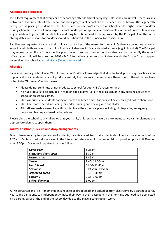#### **Absences and attendance**

It is a legal requirement that every child of school age attends school every day, unless they are unwell. There is a link between a student's rate of attendance and their progress at school. An attendance rate of below 90% is generally recognised as placing a student at risk. This equates to one day's absence at school per fortnight. Family holidays during school terms are not encouraged. School holiday periods provide a considerable amount of time for families to enjoy holidays together. All family holidays during term time need to be approved by the Principal. A written note stating dates and reasons for holidays should be submitted to the Principal for consideration.

Families are requested to advise their child's class teacher of the reason for their child's absence once they return to school or within three days of the child's first day of absence if it is an extended absence (e.g. in hospital). The Principal may request a certificate from a medical practitioner to support the reason of an absence. You can notify the school office if your child will be absent on 9391 4340. Alternatively, you can submit absences via the School Stream app or by emailing the school at [yarralinka.ps@education.wa.edu.au.](mailto:yarralinka.ps@education.wa.edu.au)

#### **Allergies**

Yarralinka Primary School is a 'Nut Aware School'. We acknowledge that due to food processing practices it is impractical to eliminate nuts or nut products entirely from an environment where there is food. Therefore, we have opted to be 'Nut Aware' which means:

- Please do not send nuts or nut products to school for your child's recess or lunch.
- No nut products to be included in food on special days (i.e. birthday cakes), or in any cooking activities at school or on school camps.
- Staff will supervise students eating at recess and lunch time. Students will be encouraged not to share food.
- Staff have participated in training for understanding and dealing with anaphylaxis.
- All staff are made aware of specific students via their medical plans including photographs, emergency response planning and medication advice.

Please alert the school to any allergies that your child/children may have on enrolment, so we can implement the appropriate plan to support them.

## **Arrival at school/ Pick up and drop arrangements**

Due to issues relating to supervision of students, parents are advised that students should not arrive at school before 8.25am. Earlier arrival is discouraged in the interest of safety as no formal supervision is provided prior to 8.30am or after 3:00pm. Our school day structure is as follows:

| <b>Gates open</b>    | 8:25am                  |
|----------------------|-------------------------|
| Classroom doors open | 8:30am                  |
| Lessons start        | 8:45am                  |
| Session 1            | 8:45-11:00am            |
| <b>Lunch break</b>   | 11:00-11:45am           |
| <b>Session 2</b>     | 11:45am-1:15pm          |
| Afternoon break      | $1:15 - 1:35$ pm        |
| <b>Session 3</b>     | $1:35 - 3:00 \text{pm}$ |
| School day ends      | 3:00 <sub>pm</sub>      |

All Kindergarten and Pre-Primary students need to be dropped off and picked up from classrooms by a parent or carer. Year 1 and 2 students can independently make their way to their classroom in the morning, but need to be collected by a parent/ carer at the end of the school day due to the Stage 2 construction work.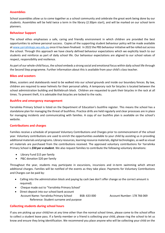## **Assemblies**

School assemblies allow us to come together as a school community and celebrate the great work being done by our students. Assemblies will be held twice a term in the library (2:30pm start), and will be marked on our school term planners.

#### **Behaviour Support**

The school ethos emphasises a safe, caring and friendly environment in which children are provided the best opportunities to achieve personal success. Copies of the supporting student behaviour policy will be made available at [www.yarralinkaps.wa.edu.au](http://www.yarralinkaps.wa.edu.au/) once it has been finalised. In 2022 the PBS behaviour initiative will be rolled out across the school. Through this approach we have clearly defined behaviour expectations which we explicitly teach to our students and reinforce as part of daily school life. Our behaviour expectations are aligned to our school values of respect, responsibility and resilience.

As part of our whole-child focus, the school embeds a strong social and emotional focus within daily school life through the Second Step programme. Further information about this is available from your child's class teacher.

#### **Bikes and scooters**

Bikes, scooters and skateboards need to be walked into our school grounds and inside our boundary fences. By law, children are required to wear helmets for their personal safety. A temporary rack for bicycles is located between the school administration building and Bottlebrush block. Children are requested to park their bicycles in the rack at all times. To prevent theft, it is advisable that bicycles are locked to the racks.

#### **Bushfire and emergency management**

Yarralinka Primary School is listed on the Department of Education's bushfire register. This means the school has a standalone plan for managing the threat of bushfires. Practice drills are held regularly and clear processes are in place for managing incidents and communicating with families. A copy of our bushfire plan is available on the school's website.

## **Contributions and charges**

Families receive a schedule of proposed Voluntary Contributions and Charges prior to commencement of the school year. Voluntary contributions are used to enrich the opportunities available to your child by assisting us in providing additional materials and programs. Library resources, learning resource materials, digital technologies, as well as visual art materials are purchased from the contributions received. The approved voluntary contributions for Yarralinka Primary School is *\$50 per a student*. We also request families to contribute the following voluntary donations:

- Library Fund \$15 per family
- P&C donation \$20 per family

Throughout the year, students may participate in excursions, incursions and in-term swimming which attract additional charges. Families will be notified of the events as they take place. Payments for Voluntary Contributions and Charges can be paid by:

- Calling into the administration block and paying by cash (we don't offer change so the correct amount is required).
- Cheque made out to "Yarralinka Primary School'
- Direct deposit into our school bank account Account Name: Yarralinka Primary School BSB: 633 000 Account Number: 178 766 069 Reference: Student surname and purpose

## **Collecting students during school hours**

If you are picking up your child/ren at any time other than the normal school times, please come to the school office to collect a student leave pass. If a family member or a friend is collecting your child, please ring the school to let us know and ensure they bring identification. We recommend you place anyone who will be collecting your child on the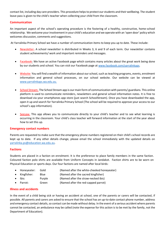contact list, including day care providers. This procedure helps to protect our students and their wellbeing. The student leave pass is given to the child's teacher when collecting your child from the classroom.

#### **Communication**

An important aspect of the school's operating procedure is the fostering of a healthy, constructive, home-school relationship. We welcome your involvement in your child's education and we operate with an 'open door' policy which welcomes discussion, comments and suggestions.

At Yarralinka Primary School we have a number of communication items to keep you up to date. These include:

- Newsletter- A school newsletter is distributed in Weeks 3, 6 and 9 of each term. Our newsletter contains student achievements/ work and important reminders and messages.
- Facebook- We have an active Facebook page which contains many articles about the great work being done by our students and school. You can visit our Facebook page at [www.facebook.com/yarralinkaps.](http://www.facebook.com/yarralinkaps)
- Website- You will find a wealth of information about our school, such as teaching programs, events, enrolment information and general school processes, on our school website. Our website can be viewed at [www.yarralinkaps.wa.edu.au.](http://www.yarralinkaps.wa.edu.au/)
- School Stream- The School Stream app is our main form of communication with parents/ guardians. This online platform is used to communicate reminders, newsletters and general school information notes. It is free to download via your smartphones app store (just search SchoolStream). Once you have downloaded the app, open it up and search for Yarralinka Primary School (The school will be required to approve your access to our school's app information).
- Seesaw- This app allows you to communicate directly to your child's teacher and to see what learning is occurring in the classroom. Your child's class teacher will forward information at the start of the year about how to set this up.

#### **Emergency contact numbers**

Parents are requested to make sure that the emergency phone numbers registered on their child's school records are kept up to date. If any other details change, please email the school immediately with the updated details on [yarralinka.ps@education.wa.edu.au.](mailto:yarralinka.ps@education.wa.edu.au)

#### **Factions**

Students are placed in a faction on enrolment. It is the preference to place family members in the same faction. Coloured faction polo shirts are available from Uniform Concepts in Jandakot. Faction shirts are to be worn on Physical Education or sports days. Our four factions are named after local birds:

- Honeyeater: Gold (Named after the white-cheeked honeyeater)
- Kingfisher: Blue (Named after the sacred kingfisher)
- Ibis: Purple (Named after the straw-necked ibis)
- Parrot: Green (Named after the red-capped parrot)

## **Illness and accidents**

In the event of a child being sick or having an accident at school, one of the parents or carers will be contacted, if possible. All parents and carers are asked to ensure that the school has an up-to-date contact phone number, address and emergency contact details, so contact can be made without delay. In the event of a serious accident where parents cannot be contacted, an ambulance may be called (note the expense for this action is to be met by the family, not the Department of Education).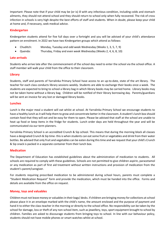Important: Please note that if your child may be (or is) ill with any infectious condition, including colds and stomach ailments, they should not attend school and they should return to school only when fully recovered. The risk of cross infection in schools is very high despite the best efforts of staff and students. When in doubt, please keep your child at home and, if necessary, seek medical advice.

## **Kindergarten**

Kindergarten students attend for five full days over a fortnight and you will be advised of your child's attendance pattern on enrolment. In 2022 we have two Kindergarten groups which attend as follows:

- Chuditch: Monday, Tuesday and odd week Wednesday (Weeks 1, 3, 5, 7, 9)
- Quenda: Thursday, Friday and even week Wednesday (Weeks 2, 4, 6, 8, 10)

## **Late arrivals**

Students who arrive late after the commencement of the school day need to enter the school via the school office. A staff member will walk your child from the office to their classroom.

## **Library**

Students, staff and parents of Yarralinka Primary School have access to an up-to-date, state of the art library. The teacher for each class conducts library sessions weekly. Students are able to exchange their books once a week. The students are expected to bring to school a library bag in which library books may be carried home. Library books may not be taken home without a library bag. Children will be notified of their library borrowing day. Parents/guardians will be sent an invoice for any lost or damaged library books.

## **Lunches**

Lunch is the major meal a student will eat whilst at school. At Yarralinka Primary School we encourage students to have a healthy lunch as it will help them to grow and concentrate better in the classroom. A student's lunch box should contain food that they will eat and be easy for them to open. Please be advised that staff at the school are unable to heat up food or keep items in the fridge for students. Lunch order days are held throughout the year and will be communicated via our term planners.

Yarralinka Primary School is an accredited Crunch & Sip school. This means that during the morning block all classes have a designated Crunch & Sip time- this is when students can eat some fruit or vegetables and drink from their water bottles. Be advised that only fruit and vegetables can be eaten during this time and we request that your child's Crunch & Sip snack is packed in a separate container from their lunch box.

## **Medication**

The Department of Education has established guidelines about the administration of medication to students. All schools are required to comply with these guidelines. Schools are not permitted to give children aspirin, paracetamol or any medication as part of first aid treatment without written instructions and provision of medication from the student's parent/caregiver.

For students requiring prescribed medication to be administered during school hours, parents must complete a "Student Medication Request" form and provide the medication, which must be handed into the office. Forms and details are available from the office on request.

## **Money, toys and valuables**

Children must not leave money or valuables in their bags/ desks. If children are bringing money for collections at school please place it in an envelope marked with the child's name, the amount enclosed and the purpose of payment and hand it to either the class teacher in the morning or directly to the school office. No responsibility can be taken by the school for damage, loss or theft of any non-school item, such as jewellery, toys, sport equipment brought to school by children. Families are asked to discourage students from bringing toys to school. In line with our behaviour policy, students should not have mobile phones or smart watches whilst at school.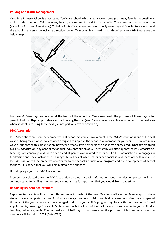#### **Parking and traffic management**

Yarralinka Primary School is a registered YouMove school, which means we encourage as many families as possible to walk or ride to school. This has many health, environmental and traffic benefits. There are two car parks on site (Yarralinka Road and Basset Way). To help with traffic management we strongly encourage all families to travel around the school site in an anti-clockwise direction (i.e. traffic moving from north to south on Yarralinka Rd). Please see the below map.



Four Kiss & Drive bays are located at the front of the school on Yarralinka Road. The purpose of these bays is for parents to drop off/pick up students without leaving their car (Year 1 and above). Parents are to remain in their vehicles when students are using these bays (i.e. not park or leave their vehicle).

## **P&C Association**

P&C Associations are extremely proactive in all school activities. Involvement in the P&C Association is one of the best ways of being aware of school activities designed to improve the school environment for your child. There are many ways of supporting this organisation, however personal involvement is the one most appreciated**. Once we establish our P&C Association,** payment of the annual P&C contribution of \$20 per family will also support the P&C Association. Meetings are generally held twice a term and all parents are invited to attend. The P&C Association also engages in fundraising and social activities, or arranges busy-bees at which parents can socialise and meet other families. The P&C Association will be an active contributor to the school's educational program and the development of school facilities. It is hoped that you will help maintain this support.

#### How do people join the P&C Association?

Members are elected onto the P&C Association on a yearly basis. Information about the election process will be communicated to families prior and you can nominate for a position that you would like to undertake.

#### **Reporting student achievement**

Reporting to parents will occur in different ways throughout the year. Teachers will use the Seesaw app to share students' work completed in class. Families are always welcome to visit their child's classroom to view work completed throughout the year. You are also encouraged to discuss your child's progress regularly with their teacher in formal appointments/ meetings. Your child's class teacher is the first point of call for any issues relating to your child (i.e. learning, behaviour, social & emotional etc). A half day school closure for the purposes of holding parent-teacher meetings will be held in 2022 (Date- TBA).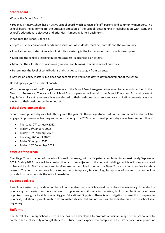## **School board**

What is the School Board?

Yarralinka Primary School has an active school board which consists of staff, parents and community members. The school board helps formulate the strategic direction of the school, determining in collaboration with staff, the school's educational objectives and priorities. A meeting is held each term.

What does the School Board do?

- Represents the educational needs and aspirations of students, teachers, parents and the community.
- In collaboration, determines school priorities, assisting in the formation of the school business plan.
- Monitors the school's learning outcomes against its business plan targets.
- Monitors the allocation of resources (financial and human) to achieve school priorities.
- Determines the level of contributions and charges to be sought from parents.
- Advises on policy matters, but does not become involved in the day-to-day management of the school.

How do people join the School Board?

With the exception of the Principal, members of the School Board are generally elected for a period specified in the Terms of Reference. The Yarralinka School Board operates in line with the School Education Act and relevant Regulations. Parent representatives are elected to their positions by parents and carers. Staff representatives are elected to their positions by the school staff.

## **School development days**

School development days are held throughout the year. On these days students do not attend school as staff will be engaged in professional learning and school planning. The 2022 school development days have been set as follows:

- Thursday,  $27<sup>th</sup>$  January 2022
- $\bullet$  Friday, 28<sup>th</sup> January 2022
- $\bullet$  Friday, 18<sup>th</sup> February 2022
- $\bullet$  Tuesday, 26<sup>th</sup> April 2022
- Friday 5<sup>th</sup> August 2022
- Friday, 16<sup>th</sup> December 2022

## **Stage 2 of the school**

The Stage 2 construction of the school is well underway, with anticipated completion in approximately September 2022. During 2022 there will be construction occurring adjacent to the current buildings, which will bring associated noise and traffic. Staff, students and families are not permitted to enter the Stage 2 construction area due to safety reasons. The construction area is marked out with temporary fencing. Regular updates of the construction will be provided by the school via the school newsletter.

## **Student booklists**

Parents are asked to provide a number of consumable items, which should be replaced as necessary. To make the purchasing task easier, and in an attempt to gain some uniformity in materials, bulk order facilities have been organised through a local business, Ziggies Educational Supplies. There is no obligation to use this company to purchase, but should parents wish to do so, materials selected and ordered will be available prior to the school year beginning.

## **Uniforms**

The Yarralinka Primary School's Dress Code has been developed to promote a positive image of the school and to create a sense of identity amongst students. Students are expected to comply with the Dress Code. Acceptance of